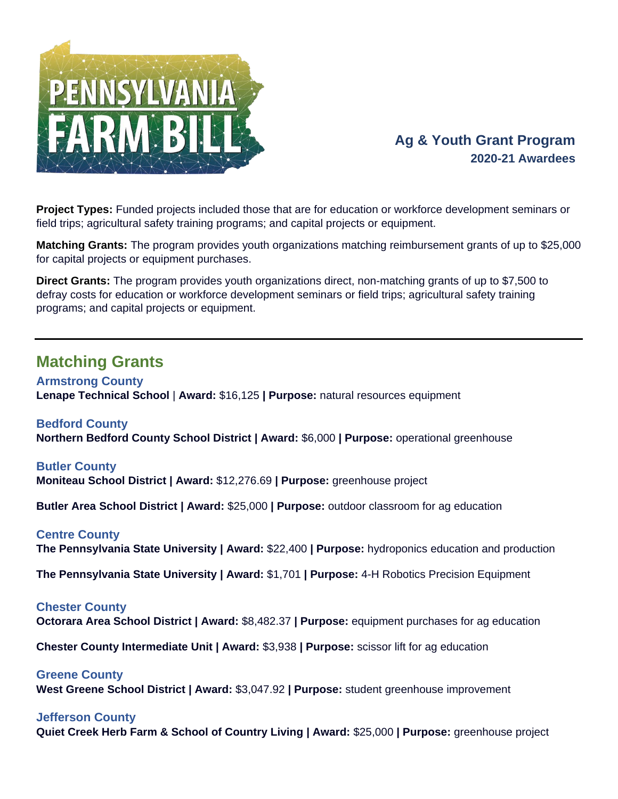

# **Ag & Youth Grant Program 2020-21 Awardees**

**Project Types:** Funded projects included those that are for education or workforce development seminars or field trips; agricultural safety training programs; and capital projects or equipment.

**Matching Grants:** The program provides youth organizations matching reimbursement grants of up to \$25,000 for capital projects or equipment purchases.

**Direct Grants:** The program provides youth organizations direct, non-matching grants of up to \$7,500 to defray costs for education or workforce development seminars or field trips; agricultural safety training programs; and capital projects or equipment.

# **Matching Grants**

**Armstrong County Lenape Technical School** | **Award:** \$16,125 **| Purpose:** natural resources equipment

**Bedford County Northern Bedford County School District | Award:** \$6,000 **| Purpose:** operational greenhouse

# **Butler County**

**Moniteau School District | Award:** \$12,276.69 **| Purpose:** greenhouse project

**Butler Area School District | Award:** \$25,000 **| Purpose:** outdoor classroom for ag education

### **Centre County**

**The Pennsylvania State University | Award:** \$22,400 **| Purpose:** hydroponics education and production

**The Pennsylvania State University | Award:** \$1,701 **| Purpose:** 4-H Robotics Precision Equipment

### **Chester County**

**Octorara Area School District | Award:** \$8,482.37 **| Purpose:** equipment purchases for ag education

**Chester County Intermediate Unit | Award:** \$3,938 **| Purpose:** scissor lift for ag education

### **Greene County**

**West Greene School District | Award:** \$3,047.92 **| Purpose:** student greenhouse improvement

### **Jefferson County**

**Quiet Creek Herb Farm & School of Country Living | Award:** \$25,000 **| Purpose:** greenhouse project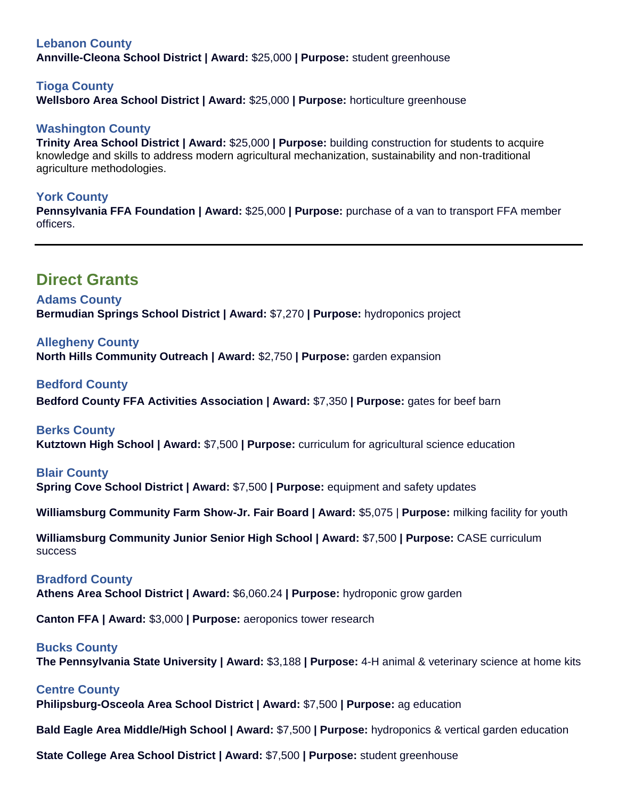## **Lebanon County**

**Annville-Cleona School District | Award:** \$25,000 **| Purpose:** student greenhouse

### **Tioga County**

**Wellsboro Area School District | Award:** \$25,000 **| Purpose:** horticulture greenhouse

## **Washington County**

**Trinity Area School District | Award:** \$25,000 **| Purpose:** building construction for students to acquire knowledge and skills to address modern agricultural mechanization, sustainability and non-traditional agriculture methodologies.

### **York County**

**Pennsylvania FFA Foundation | Award:** \$25,000 **| Purpose:** purchase of a van to transport FFA member officers.

# **Direct Grants**

### **Adams County Bermudian Springs School District | Award:** \$7,270 **| Purpose:** hydroponics project

**Allegheny County North Hills Community Outreach | Award:** \$2,750 **| Purpose:** garden expansion

**Bedford County Bedford County FFA Activities Association | Award:** \$7,350 **| Purpose:** gates for beef barn

**Berks County Kutztown High School | Award:** \$7,500 **| Purpose:** curriculum for agricultural science education

# **Blair County Spring Cove School District | Award:** \$7,500 **| Purpose:** equipment and safety updates

**Williamsburg Community Farm Show-Jr. Fair Board | Award:** \$5,075 | **Purpose:** milking facility for youth

**Williamsburg Community Junior Senior High School | Award:** \$7,500 **| Purpose:** CASE curriculum success

# **Bradford County**

**Athens Area School District | Award:** \$6,060.24 **| Purpose:** hydroponic grow garden

**Canton FFA | Award:** \$3,000 **| Purpose:** aeroponics tower research

### **Bucks County**

**The Pennsylvania State University | Award:** \$3,188 **| Purpose:** 4-H animal & veterinary science at home kits

### **Centre County**

**Philipsburg-Osceola Area School District | Award:** \$7,500 **| Purpose:** ag education

**Bald Eagle Area Middle/High School | Award:** \$7,500 **| Purpose:** hydroponics & vertical garden education

**State College Area School District | Award:** \$7,500 **| Purpose:** student greenhouse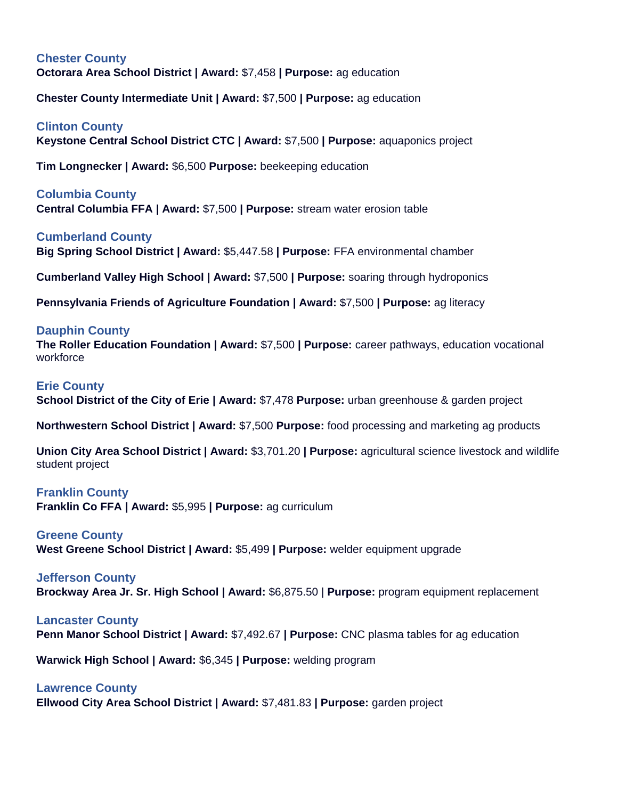# **Chester County Octorara Area School District | Award:** \$7,458 **| Purpose:** ag education

**Chester County Intermediate Unit | Award:** \$7,500 **| Purpose:** ag education

**Clinton County Keystone Central School District CTC | Award:** \$7,500 **| Purpose:** aquaponics project

**Tim Longnecker | Award:** \$6,500 **Purpose:** beekeeping education

**Columbia County Central Columbia FFA | Award:** \$7,500 **| Purpose:** stream water erosion table

**Cumberland County Big Spring School District | Award:** \$5,447.58 **| Purpose:** FFA environmental chamber

**Cumberland Valley High School | Award:** \$7,500 **| Purpose:** soaring through hydroponics

**Pennsylvania Friends of Agriculture Foundation | Award:** \$7,500 **| Purpose:** ag literacy

## **Dauphin County**

**The Roller Education Foundation | Award:** \$7,500 **| Purpose:** career pathways, education vocational workforce

#### **Erie County**

**School District of the City of Erie | Award:** \$7,478 **Purpose:** urban greenhouse & garden project

**Northwestern School District | Award:** \$7,500 **Purpose:** food processing and marketing ag products

**Union City Area School District | Award:** \$3,701.20 **| Purpose:** agricultural science livestock and wildlife student project

### **Franklin County**

**Franklin Co FFA | Award:** \$5,995 **| Purpose:** ag curriculum

### **Greene County**

**West Greene School District | Award:** \$5,499 **| Purpose:** welder equipment upgrade

### **Jefferson County**

**Brockway Area Jr. Sr. High School | Award:** \$6,875.50 | **Purpose:** program equipment replacement

### **Lancaster County**

**Penn Manor School District | Award:** \$7,492.67 **| Purpose:** CNC plasma tables for ag education

**Warwick High School | Award:** \$6,345 **| Purpose:** welding program

### **Lawrence County**

**Ellwood City Area School District | Award:** \$7,481.83 **| Purpose:** garden project